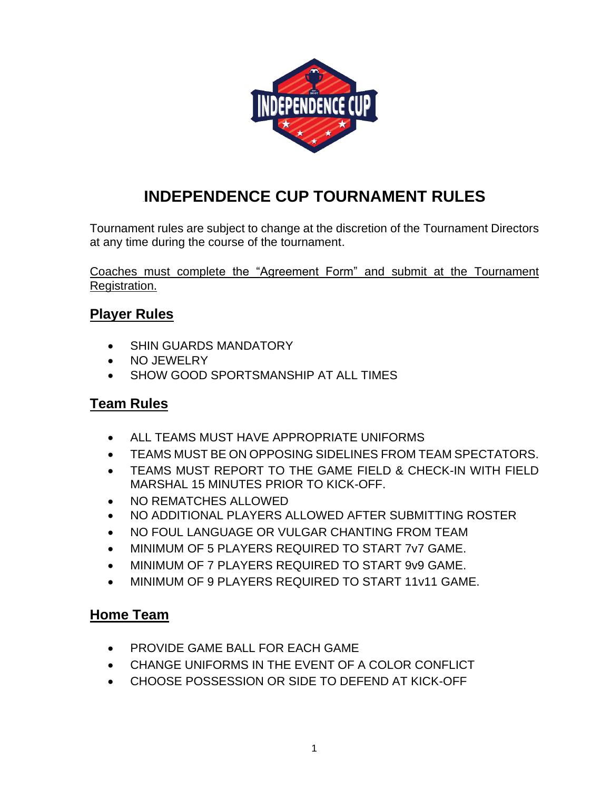

# 0B**INDEPENDENCE CUP TOURNAMENT RULES**

Tournament rules are subject to change at the discretion of the Tournament Directors at any time during the course of the tournament.

Coaches must complete the "Agreement Form" and submit at the Tournament Registration.

# **Player Rules**

- SHIN GUARDS MANDATORY
- NO JEWELRY
- SHOW GOOD SPORTSMANSHIP AT ALL TIMES

# **Team Rules**

- ALL TEAMS MUST HAVE APPROPRIATE UNIFORMS
- TEAMS MUST BE ON OPPOSING SIDELINES FROM TEAM SPECTATORS.
- TEAMS MUST REPORT TO THE GAME FIELD & CHECK-IN WITH FIELD MARSHAL 15 MINUTES PRIOR TO KICK-OFF.
- NO REMATCHES ALLOWED
- NO ADDITIONAL PLAYERS ALLOWED AFTER SUBMITTING ROSTER
- NO FOUL LANGUAGE OR VULGAR CHANTING FROM TEAM
- MINIMUM OF 5 PLAYERS REQUIRED TO START 7v7 GAME.
- MINIMUM OF 7 PLAYERS REQUIRED TO START 9v9 GAME.
- MINIMUM OF 9 PLAYERS REQUIRED TO START 11v11 GAME.

#### **Home Team**

- PROVIDE GAME BALL FOR EACH GAME
- CHANGE UNIFORMS IN THE EVENT OF A COLOR CONFLICT
- CHOOSE POSSESSION OR SIDE TO DEFEND AT KICK-OFF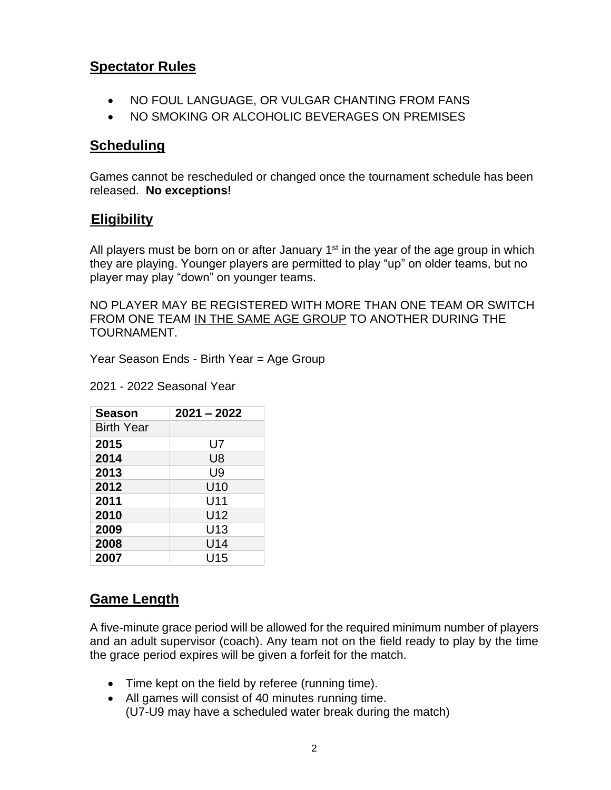# **Spectator Rules**

- NO FOUL LANGUAGE, OR VULGAR CHANTING FROM FANS
- NO SMOKING OR ALCOHOLIC BEVERAGES ON PREMISES

### **Scheduling**

Games cannot be rescheduled or changed once the tournament schedule has been released. **No exceptions!**

#### **1BEligibility**

All players must be born on or after January 1<sup>st</sup> in the year of the age group in which they are playing. Younger players are permitted to play "up" on older teams, but no player may play "down" on younger teams.

NO PLAYER MAY BE REGISTERED WITH MORE THAN ONE TEAM OR SWITCH FROM ONE TEAM IN THE SAME AGE GROUP TO ANOTHER DURING THE TOURNAMENT.

Year Season Ends - Birth Year = Age Group

2021 - 2022 Seasonal Year

| <b>Season</b>     | $2021 - 2022$ |
|-------------------|---------------|
| <b>Birth Year</b> |               |
| 2015              | U7            |
| 2014              | U8            |
| 2013              | U9            |
| 2012              | U10           |
| 2011              | U11           |
| 2010              | U12           |
| 2009              | U13           |
| 2008              | U14           |
| 2007              | U15           |

# **Game Length**

A five-minute grace period will be allowed for the required minimum number of players and an adult supervisor (coach). Any team not on the field ready to play by the time the grace period expires will be given a forfeit for the match.

- Time kept on the field by referee (running time).
- All games will consist of 40 minutes running time. (U7-U9 may have a scheduled water break during the match)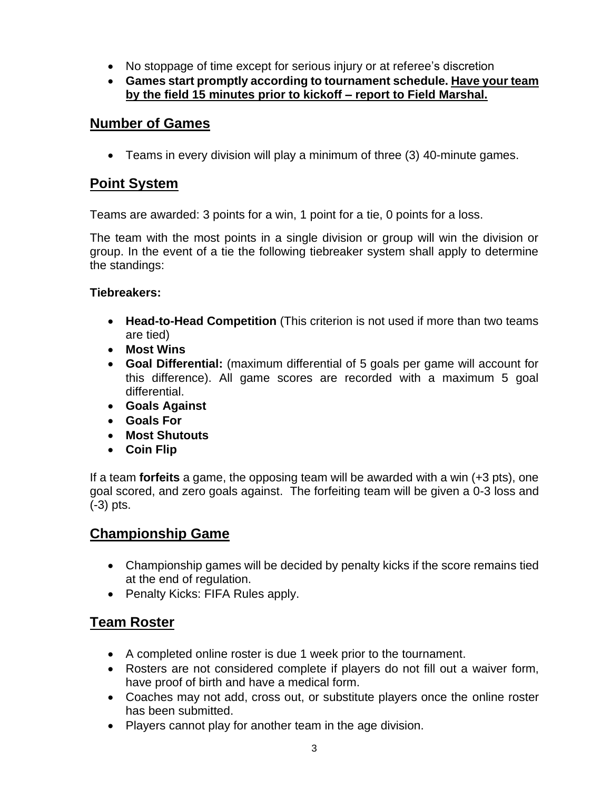- No stoppage of time except for serious injury or at referee's discretion
- **Games start promptly according to tournament schedule. Have your team by the field 15 minutes prior to kickoff – report to Field Marshal.**

### **Number of Games**

• Teams in every division will play a minimum of three (3) 40-minute games.

# **Point System**

Teams are awarded: 3 points for a win, 1 point for a tie, 0 points for a loss.

The team with the most points in a single division or group will win the division or group. In the event of a tie the following tiebreaker system shall apply to determine the standings:

#### **Tiebreakers:**

- **Head-to-Head Competition** (This criterion is not used if more than two teams are tied)
- **Most Wins**
- **Goal Differential:** (maximum differential of 5 goals per game will account for this difference). All game scores are recorded with a maximum 5 goal differential.
- **Goals Against**
- **Goals For**
- **Most Shutouts**
- **Coin Flip**

If a team **forfeits** a game, the opposing team will be awarded with a win (+3 pts), one goal scored, and zero goals against. The forfeiting team will be given a 0-3 loss and (-3) pts.

# **Championship Game**

- Championship games will be decided by penalty kicks if the score remains tied at the end of regulation.
- Penalty Kicks: FIFA Rules apply.

# **Team Roster**

- A completed online roster is due 1 week prior to the tournament.
- Rosters are not considered complete if players do not fill out a waiver form, have proof of birth and have a medical form.
- Coaches may not add, cross out, or substitute players once the online roster has been submitted.
- Players cannot play for another team in the age division.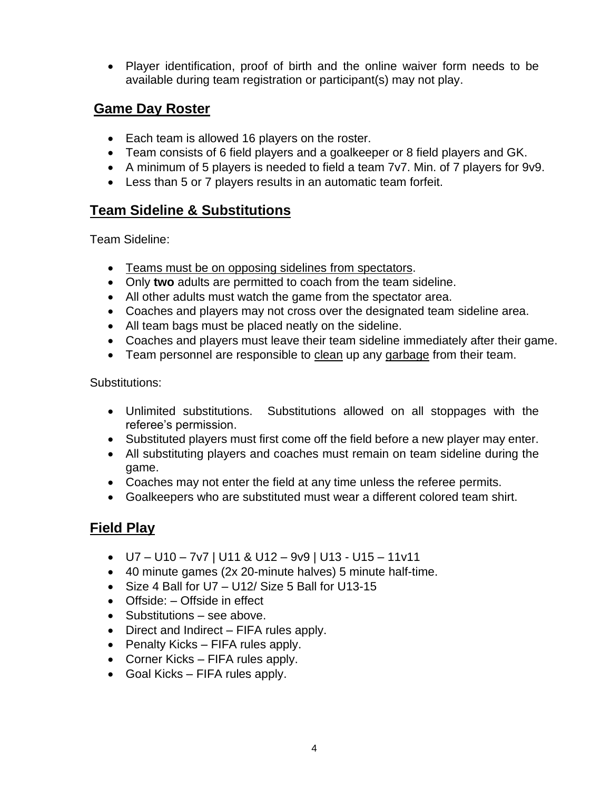• Player identification, proof of birth and the online waiver form needs to be available during team registration or participant(s) may not play.

# **Game Day Roster**

- Each team is allowed 16 players on the roster.
- Team consists of 6 field players and a goalkeeper or 8 field players and GK.
- A minimum of 5 players is needed to field a team 7v7. Min. of 7 players for 9v9.
- Less than 5 or 7 players results in an automatic team forfeit.

# **Team Sideline & Substitutions**

Team Sideline:

- Teams must be on opposing sidelines from spectators.
- Only **two** adults are permitted to coach from the team sideline.
- All other adults must watch the game from the spectator area.
- Coaches and players may not cross over the designated team sideline area.
- All team bags must be placed neatly on the sideline.
- Coaches and players must leave their team sideline immediately after their game.
- Team personnel are responsible to clean up any garbage from their team.

Substitutions:

- Unlimited substitutions. Substitutions allowed on all stoppages with the referee's permission.
- Substituted players must first come off the field before a new player may enter.
- All substituting players and coaches must remain on team sideline during the game.
- Coaches may not enter the field at any time unless the referee permits.
- Goalkeepers who are substituted must wear a different colored team shirt.

# **Field Play**

- U7 U10 7v7 | U11 & U12 9v9 | U13 U15 11v11
- 40 minute games (2x 20-minute halves) 5 minute half-time.
- Size 4 Ball for U7 U12/ Size 5 Ball for U13-15
- Offside: Offside in effect
- Substitutions see above.
- Direct and Indirect FIFA rules apply.
- Penalty Kicks FIFA rules apply.
- Corner Kicks FIFA rules apply.
- Goal Kicks FIFA rules apply.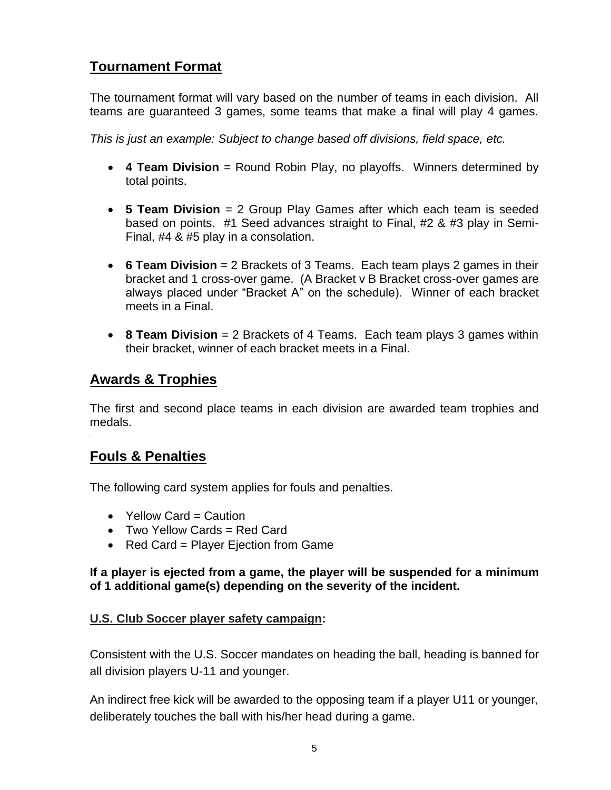# **Tournament Format**

The tournament format will vary based on the number of teams in each division. All teams are guaranteed 3 games, some teams that make a final will play 4 games.

*This is just an example: Subject to change based off divisions, field space, etc.* 

- **4 Team Division** = Round Robin Play, no playoffs. Winners determined by total points.
- **5 Team Division** = 2 Group Play Games after which each team is seeded based on points. #1 Seed advances straight to Final, #2 & #3 play in Semi-Final, #4 & #5 play in a consolation.
- **6 Team Division** = 2 Brackets of 3 Teams. Each team plays 2 games in their bracket and 1 cross-over game. (A Bracket v B Bracket cross-over games are always placed under "Bracket A" on the schedule). Winner of each bracket meets in a Final.
- **8 Team Division** = 2 Brackets of 4 Teams. Each team plays 3 games within their bracket, winner of each bracket meets in a Final.

# **Awards & Trophies**

The first and second place teams in each division are awarded team trophies and medals.

# **Fouls & Penalties**

The following card system applies for fouls and penalties.

- Yellow Card = Caution
- Two Yellow Cards = Red Card
- Red Card = Player Ejection from Game

#### **If a player is ejected from a game, the player will be suspended for a minimum of 1 additional game(s) depending on the severity of the incident.**

#### **U.S. Club Soccer player safety campaign:**

Consistent with the U.S. Soccer mandates on heading the ball, heading is banned for all division players U-11 and younger.

An indirect free kick will be awarded to the opposing team if a player U11 or younger, deliberately touches the ball with his/her head during a game.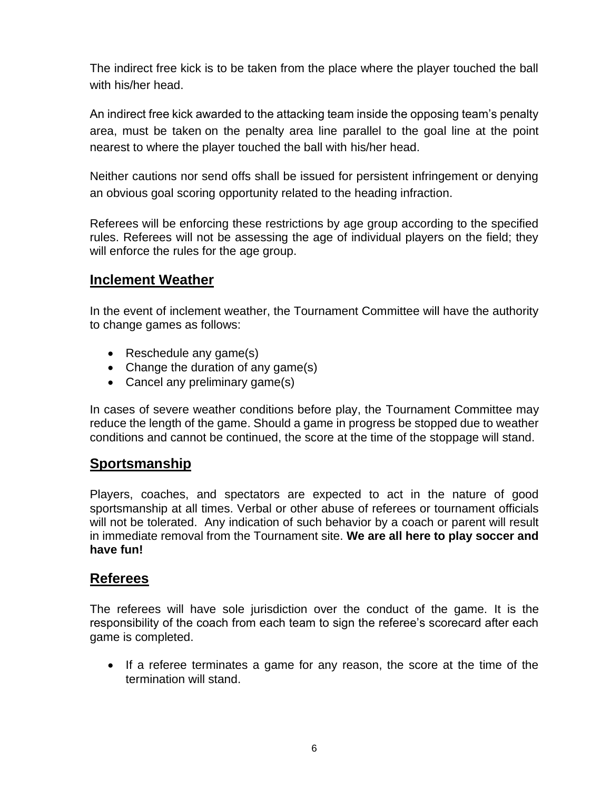The indirect free kick is to be taken from the place where the player touched the ball with his/her head.

An indirect free kick awarded to the attacking team inside the opposing team's penalty area, must be taken on the penalty area line parallel to the goal line at the point nearest to where the player touched the ball with his/her head.

Neither cautions nor send offs shall be issued for persistent infringement or denying an obvious goal scoring opportunity related to the heading infraction.

Referees will be enforcing these restrictions by age group according to the specified rules. Referees will not be assessing the age of individual players on the field; they will enforce the rules for the age group.

#### **Inclement Weather**

In the event of inclement weather, the Tournament Committee will have the authority to change games as follows:

- Reschedule any game(s)
- Change the duration of any game(s)
- Cancel any preliminary game(s)

In cases of severe weather conditions before play, the Tournament Committee may reduce the length of the game. Should a game in progress be stopped due to weather conditions and cannot be continued, the score at the time of the stoppage will stand.

# **Sportsmanship**

Players, coaches, and spectators are expected to act in the nature of good sportsmanship at all times. Verbal or other abuse of referees or tournament officials will not be tolerated. Any indication of such behavior by a coach or parent will result in immediate removal from the Tournament site. **We are all here to play soccer and have fun!**

#### **Referees**

The referees will have sole jurisdiction over the conduct of the game. It is the responsibility of the coach from each team to sign the referee's scorecard after each game is completed.

• If a referee terminates a game for any reason, the score at the time of the termination will stand.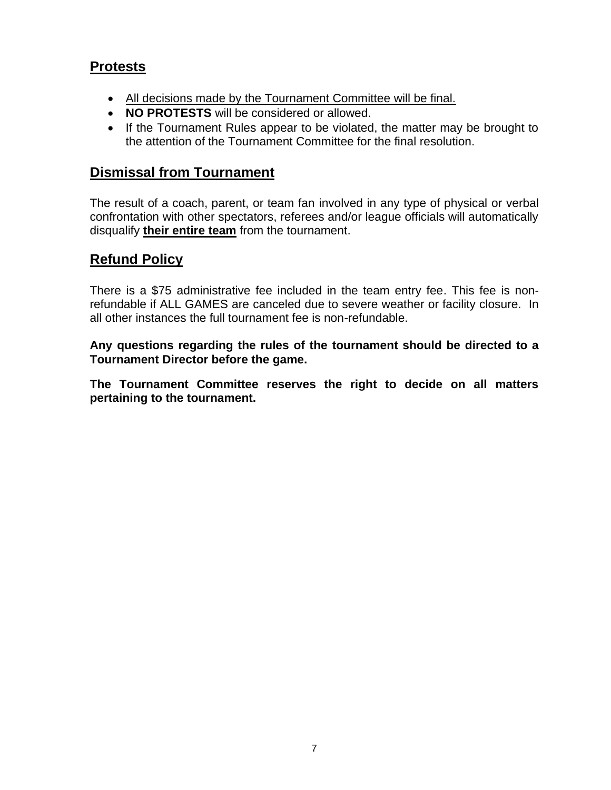# **Protests**

- All decisions made by the Tournament Committee will be final.
- **NO PROTESTS** will be considered or allowed.
- If the Tournament Rules appear to be violated, the matter may be brought to the attention of the Tournament Committee for the final resolution.

# **Dismissal from Tournament**

The result of a coach, parent, or team fan involved in any type of physical or verbal confrontation with other spectators, referees and/or league officials will automatically disqualify **their entire team** from the tournament.

# **Refund Policy**

There is a \$75 administrative fee included in the team entry fee. This fee is nonrefundable if ALL GAMES are canceled due to severe weather or facility closure. In all other instances the full tournament fee is non-refundable.

**Any questions regarding the rules of the tournament should be directed to a Tournament Director before the game.**

**The Tournament Committee reserves the right to decide on all matters pertaining to the tournament.**